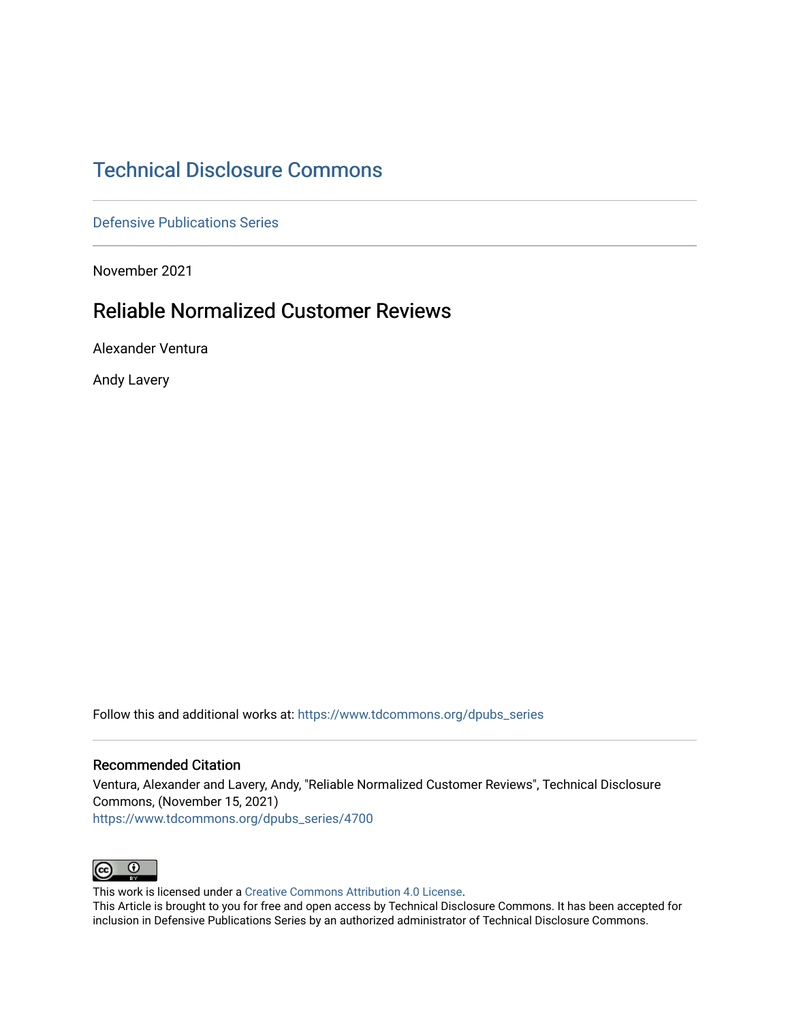# [Technical Disclosure Commons](https://www.tdcommons.org/)

[Defensive Publications Series](https://www.tdcommons.org/dpubs_series)

November 2021

# Reliable Normalized Customer Reviews

Alexander Ventura

Andy Lavery

Follow this and additional works at: [https://www.tdcommons.org/dpubs\\_series](https://www.tdcommons.org/dpubs_series?utm_source=www.tdcommons.org%2Fdpubs_series%2F4700&utm_medium=PDF&utm_campaign=PDFCoverPages) 

## Recommended Citation

Ventura, Alexander and Lavery, Andy, "Reliable Normalized Customer Reviews", Technical Disclosure Commons, (November 15, 2021) [https://www.tdcommons.org/dpubs\\_series/4700](https://www.tdcommons.org/dpubs_series/4700?utm_source=www.tdcommons.org%2Fdpubs_series%2F4700&utm_medium=PDF&utm_campaign=PDFCoverPages)



This work is licensed under a [Creative Commons Attribution 4.0 License](http://creativecommons.org/licenses/by/4.0/deed.en_US).

This Article is brought to you for free and open access by Technical Disclosure Commons. It has been accepted for inclusion in Defensive Publications Series by an authorized administrator of Technical Disclosure Commons.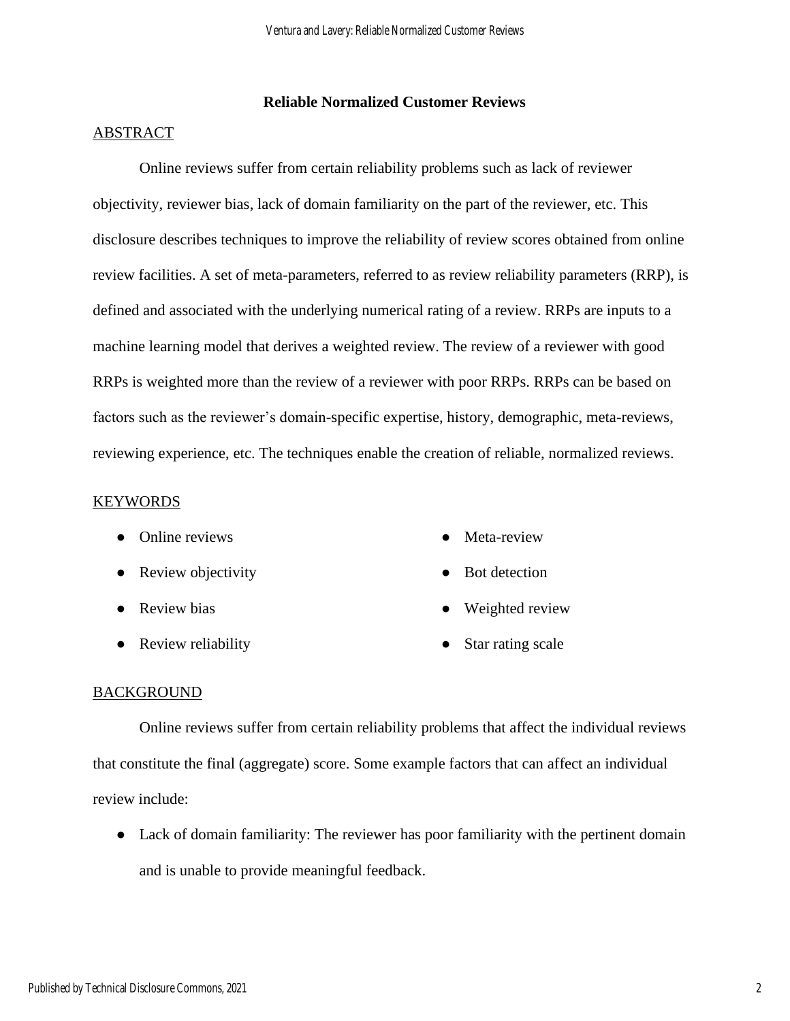## **Reliable Normalized Customer Reviews**

#### ABSTRACT

Online reviews suffer from certain reliability problems such as lack of reviewer objectivity, reviewer bias, lack of domain familiarity on the part of the reviewer, etc. This disclosure describes techniques to improve the reliability of review scores obtained from online review facilities. A set of meta-parameters, referred to as review reliability parameters (RRP), is defined and associated with the underlying numerical rating of a review. RRPs are inputs to a machine learning model that derives a weighted review. The review of a reviewer with good RRPs is weighted more than the review of a reviewer with poor RRPs. RRPs can be based on factors such as the reviewer's domain-specific expertise, history, demographic, meta-reviews, reviewing experience, etc. The techniques enable the creation of reliable, normalized reviews.

#### **KEYWORDS**

- Online reviews
- Review objectivity
- Review bias
- Review reliability
- Meta-review
- Bot detection
- Weighted review
- Star rating scale

## BACKGROUND

Online reviews suffer from certain reliability problems that affect the individual reviews that constitute the final (aggregate) score. Some example factors that can affect an individual review include:

● Lack of domain familiarity: The reviewer has poor familiarity with the pertinent domain and is unable to provide meaningful feedback.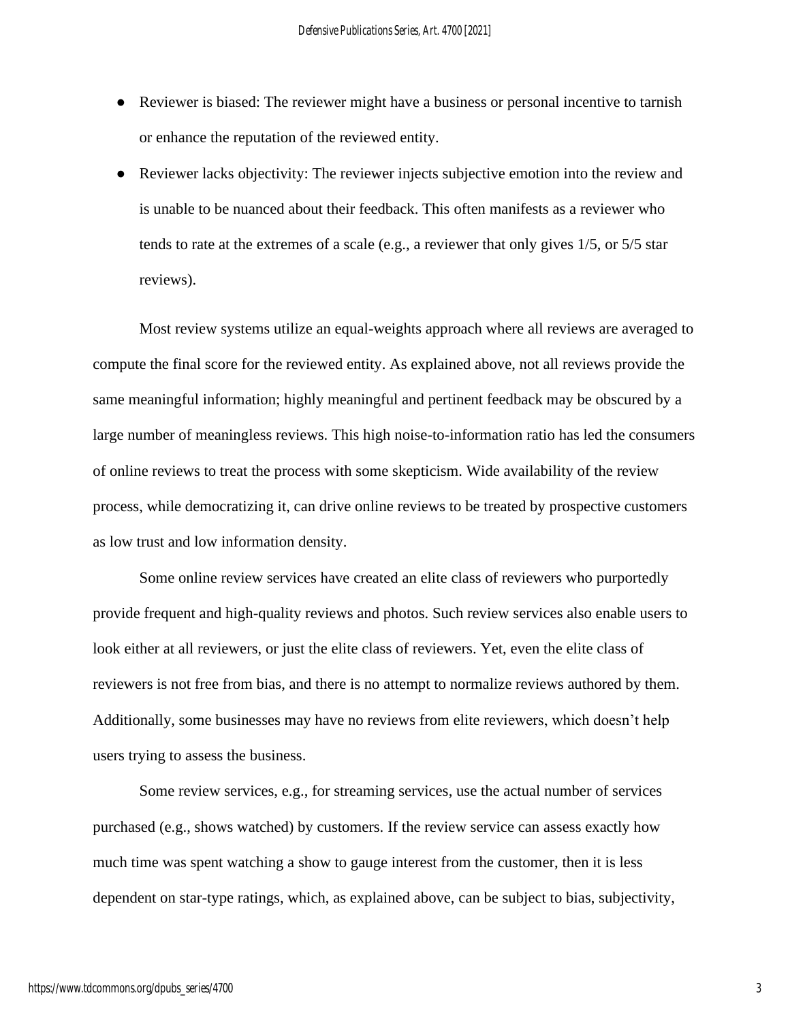- Reviewer is biased: The reviewer might have a business or personal incentive to tarnish or enhance the reputation of the reviewed entity.
- Reviewer lacks objectivity: The reviewer injects subjective emotion into the review and is unable to be nuanced about their feedback. This often manifests as a reviewer who tends to rate at the extremes of a scale (e.g., a reviewer that only gives 1/5, or 5/5 star reviews).

Most review systems utilize an equal-weights approach where all reviews are averaged to compute the final score for the reviewed entity. As explained above, not all reviews provide the same meaningful information; highly meaningful and pertinent feedback may be obscured by a large number of meaningless reviews. This high noise-to-information ratio has led the consumers of online reviews to treat the process with some skepticism. Wide availability of the review process, while democratizing it, can drive online reviews to be treated by prospective customers as low trust and low information density.

Some online review services have created an elite class of reviewers who purportedly provide frequent and high-quality reviews and photos. Such review services also enable users to look either at all reviewers, or just the elite class of reviewers. Yet, even the elite class of reviewers is not free from bias, and there is no attempt to normalize reviews authored by them. Additionally, some businesses may have no reviews from elite reviewers, which doesn't help users trying to assess the business.

Some review services, e.g., for streaming services, use the actual number of services purchased (e.g., shows watched) by customers. If the review service can assess exactly how much time was spent watching a show to gauge interest from the customer, then it is less dependent on star-type ratings, which, as explained above, can be subject to bias, subjectivity,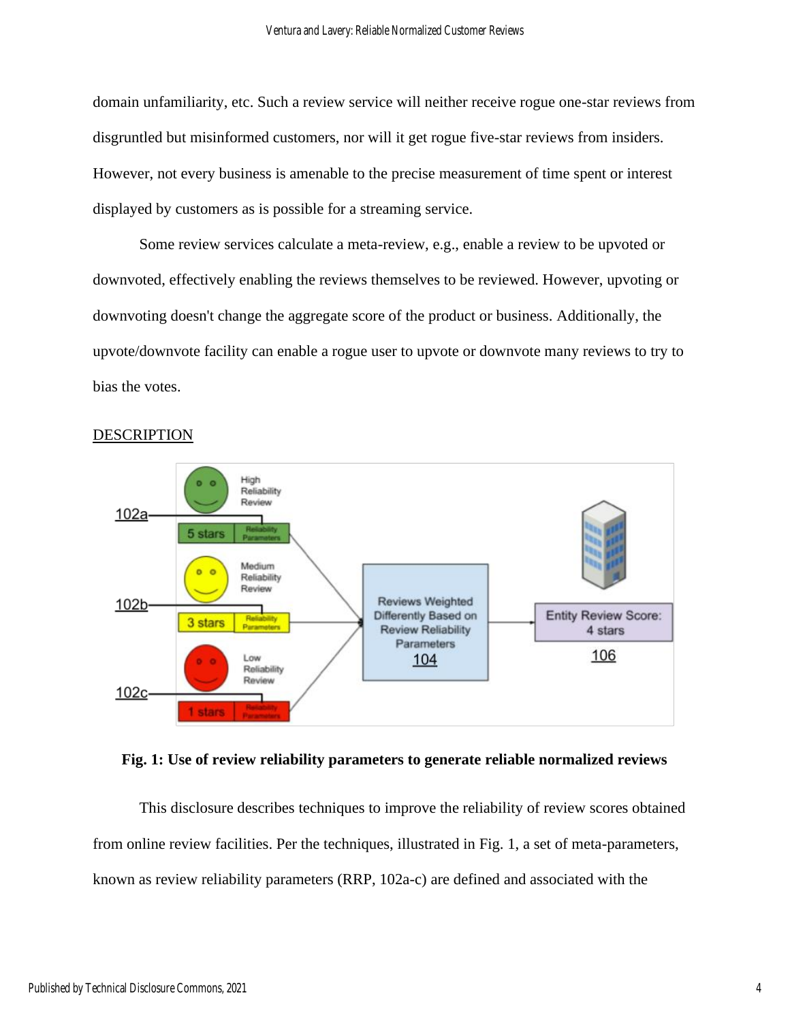domain unfamiliarity, etc. Such a review service will neither receive rogue one-star reviews from disgruntled but misinformed customers, nor will it get rogue five-star reviews from insiders. However, not every business is amenable to the precise measurement of time spent or interest displayed by customers as is possible for a streaming service.

Some review services calculate a meta-review, e.g., enable a review to be upvoted or downvoted, effectively enabling the reviews themselves to be reviewed. However, upvoting or downvoting doesn't change the aggregate score of the product or business. Additionally, the upvote/downvote facility can enable a rogue user to upvote or downvote many reviews to try to bias the votes.



## DESCRIPTION



This disclosure describes techniques to improve the reliability of review scores obtained from online review facilities. Per the techniques, illustrated in Fig. 1, a set of meta-parameters, known as review reliability parameters (RRP, 102a-c) are defined and associated with the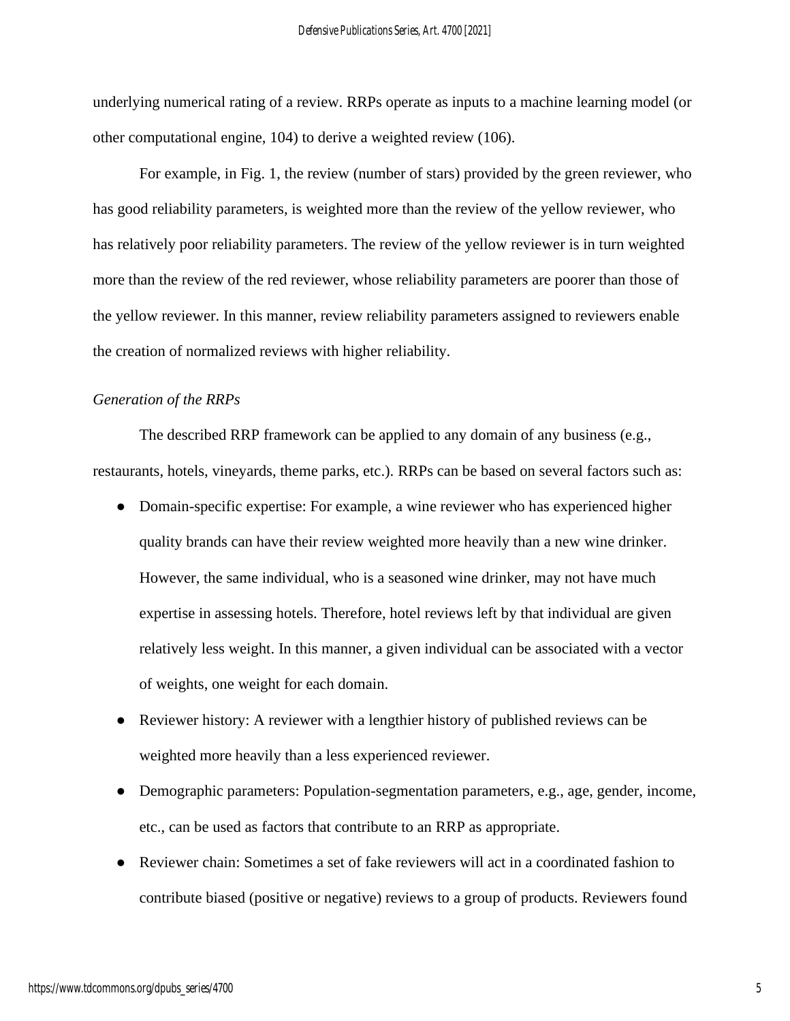underlying numerical rating of a review. RRPs operate as inputs to a machine learning model (or other computational engine, 104) to derive a weighted review (106).

For example, in Fig. 1, the review (number of stars) provided by the green reviewer, who has good reliability parameters, is weighted more than the review of the yellow reviewer, who has relatively poor reliability parameters. The review of the yellow reviewer is in turn weighted more than the review of the red reviewer, whose reliability parameters are poorer than those of the yellow reviewer. In this manner, review reliability parameters assigned to reviewers enable the creation of normalized reviews with higher reliability.

## *Generation of the RRPs*

The described RRP framework can be applied to any domain of any business (e.g., restaurants, hotels, vineyards, theme parks, etc.). RRPs can be based on several factors such as:

- Domain-specific expertise: For example, a wine reviewer who has experienced higher quality brands can have their review weighted more heavily than a new wine drinker. However, the same individual, who is a seasoned wine drinker, may not have much expertise in assessing hotels. Therefore, hotel reviews left by that individual are given relatively less weight. In this manner, a given individual can be associated with a vector of weights, one weight for each domain.
- Reviewer history: A reviewer with a lengthier history of published reviews can be weighted more heavily than a less experienced reviewer.
- Demographic parameters: Population-segmentation parameters, e.g., age, gender, income, etc., can be used as factors that contribute to an RRP as appropriate.
- Reviewer chain: Sometimes a set of fake reviewers will act in a coordinated fashion to contribute biased (positive or negative) reviews to a group of products. Reviewers found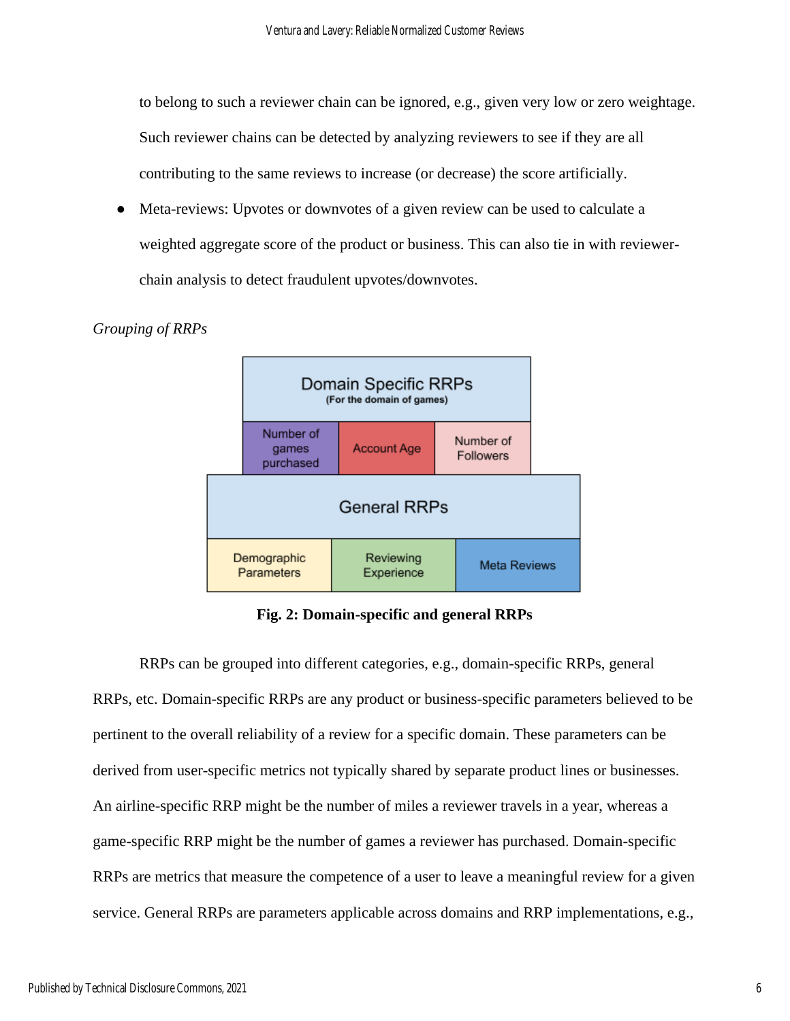to belong to such a reviewer chain can be ignored, e.g., given very low or zero weightage.

Such reviewer chains can be detected by analyzing reviewers to see if they are all

contributing to the same reviews to increase (or decrease) the score artificially.

Meta-reviews: Upvotes or downvotes of a given review can be used to calculate a weighted aggregate score of the product or business. This can also tie in with reviewerchain analysis to detect fraudulent upvotes/downvotes.

# *Grouping of RRPs*



**Fig. 2: Domain-specific and general RRPs**

RRPs can be grouped into different categories, e.g., domain-specific RRPs, general RRPs, etc. Domain-specific RRPs are any product or business-specific parameters believed to be pertinent to the overall reliability of a review for a specific domain. These parameters can be derived from user-specific metrics not typically shared by separate product lines or businesses. An airline-specific RRP might be the number of miles a reviewer travels in a year, whereas a game-specific RRP might be the number of games a reviewer has purchased. Domain-specific RRPs are metrics that measure the competence of a user to leave a meaningful review for a given service. General RRPs are parameters applicable across domains and RRP implementations, e.g.,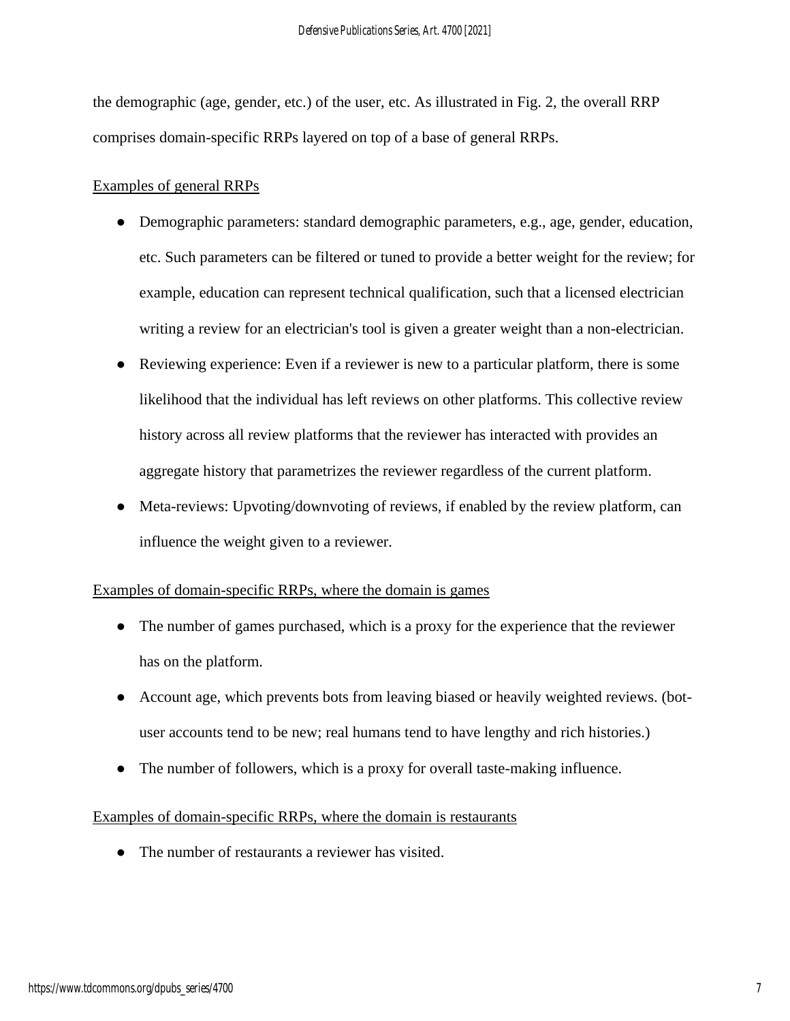the demographic (age, gender, etc.) of the user, etc. As illustrated in Fig. 2, the overall RRP comprises domain-specific RRPs layered on top of a base of general RRPs.

# Examples of general RRPs

- Demographic parameters: standard demographic parameters, e.g., age, gender, education, etc. Such parameters can be filtered or tuned to provide a better weight for the review; for example, education can represent technical qualification, such that a licensed electrician writing a review for an electrician's tool is given a greater weight than a non-electrician.
- Reviewing experience: Even if a reviewer is new to a particular platform, there is some likelihood that the individual has left reviews on other platforms. This collective review history across all review platforms that the reviewer has interacted with provides an aggregate history that parametrizes the reviewer regardless of the current platform.
- Meta-reviews: Upvoting/downvoting of reviews, if enabled by the review platform, can influence the weight given to a reviewer.

## Examples of domain-specific RRPs, where the domain is games

- The number of games purchased, which is a proxy for the experience that the reviewer has on the platform.
- Account age, which prevents bots from leaving biased or heavily weighted reviews. (botuser accounts tend to be new; real humans tend to have lengthy and rich histories.)
- The number of followers, which is a proxy for overall taste-making influence.

# Examples of domain-specific RRPs, where the domain is restaurants

• The number of restaurants a reviewer has visited.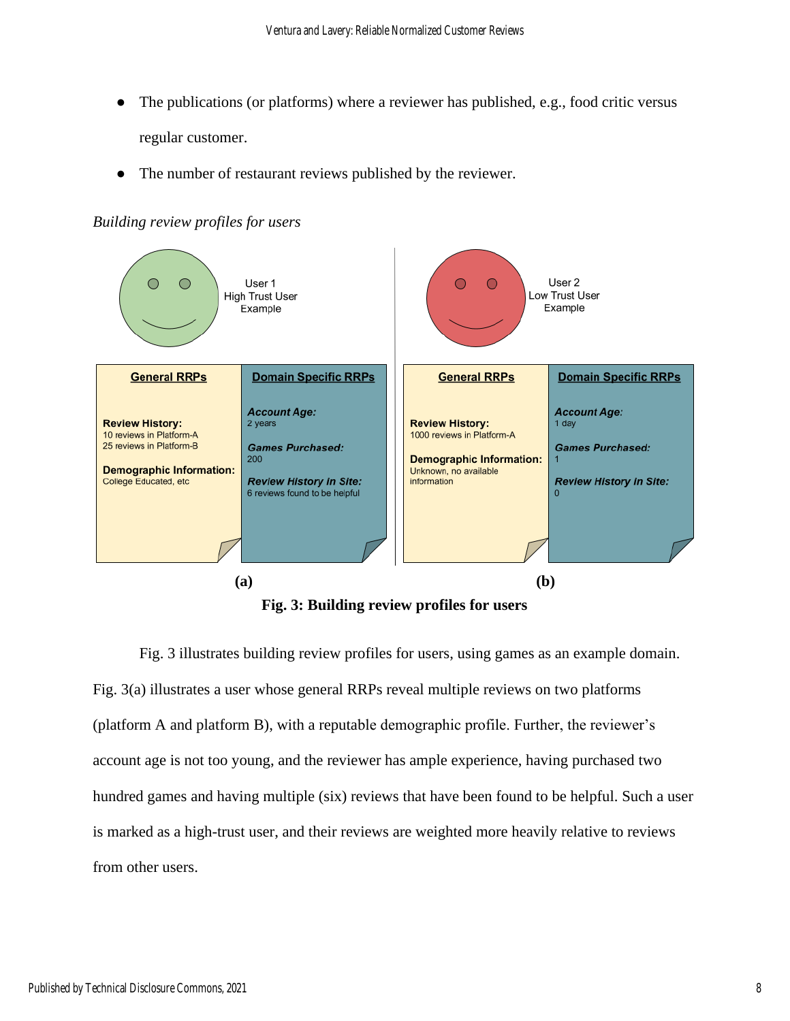- The publications (or platforms) where a reviewer has published, e.g., food critic versus regular customer.
- The number of restaurant reviews published by the reviewer.



*Building review profiles for users*

**Fig. 3: Building review profiles for users**

Fig. 3 illustrates building review profiles for users, using games as an example domain. Fig. 3(a) illustrates a user whose general RRPs reveal multiple reviews on two platforms (platform A and platform B), with a reputable demographic profile. Further, the reviewer's account age is not too young, and the reviewer has ample experience, having purchased two hundred games and having multiple (six) reviews that have been found to be helpful. Such a user is marked as a high-trust user, and their reviews are weighted more heavily relative to reviews from other users.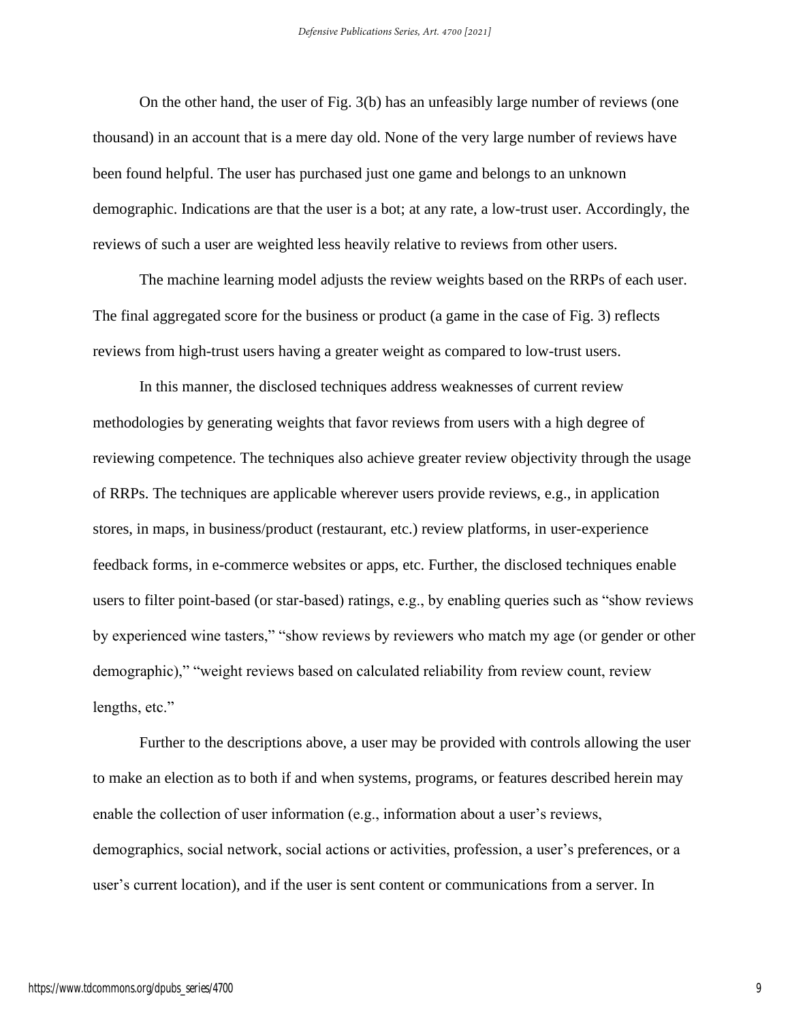On the other hand, the user of Fig. 3(b) has an unfeasibly large number of reviews (one thousand) in an account that is a mere day old. None of the very large number of reviews have been found helpful. The user has purchased just one game and belongs to an unknown demographic. Indications are that the user is a bot; at any rate, a low-trust user. Accordingly, the reviews of such a user are weighted less heavily relative to reviews from other users.

The machine learning model adjusts the review weights based on the RRPs of each user. The final aggregated score for the business or product (a game in the case of Fig. 3) reflects reviews from high-trust users having a greater weight as compared to low-trust users.

In this manner, the disclosed techniques address weaknesses of current review methodologies by generating weights that favor reviews from users with a high degree of reviewing competence. The techniques also achieve greater review objectivity through the usage of RRPs. The techniques are applicable wherever users provide reviews, e.g., in application stores, in maps, in business/product (restaurant, etc.) review platforms, in user-experience feedback forms, in e-commerce websites or apps, etc. Further, the disclosed techniques enable users to filter point-based (or star-based) ratings, e.g., by enabling queries such as "show reviews by experienced wine tasters," "show reviews by reviewers who match my age (or gender or other demographic)," "weight reviews based on calculated reliability from review count, review lengths, etc."

Further to the descriptions above, a user may be provided with controls allowing the user to make an election as to both if and when systems, programs, or features described herein may enable the collection of user information (e.g., information about a user's reviews, demographics, social network, social actions or activities, profession, a user's preferences, or a user's current location), and if the user is sent content or communications from a server. In

9